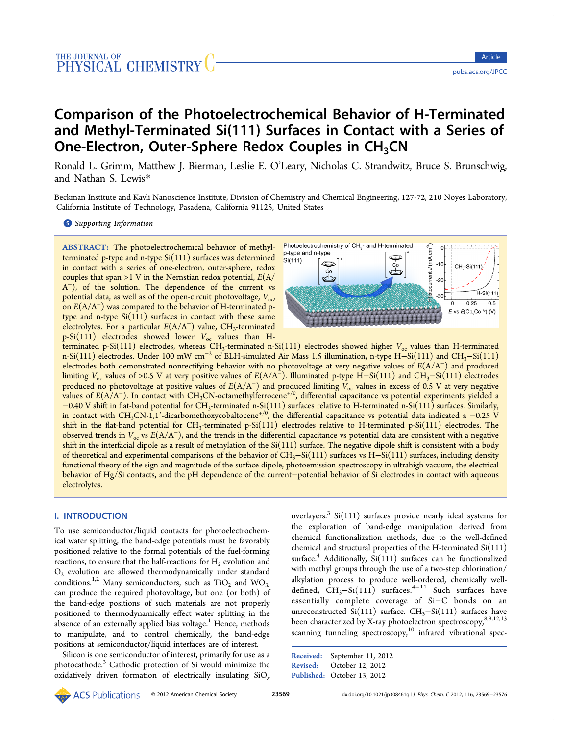# Comparison of the Photoelectrochemical Behavior of H‑Terminated and Methyl-Terminated Si(111) Surfaces in Contact with a Series of One-Electron, Outer-Sphere Redox Couples in CH<sub>3</sub>CN

Ronald L. Grimm, Matthew J. Bierman, Leslie E. O'Leary, Nicholas C. Strandwitz, Bruce S. Brunschwig, and Nathan S. Lewis[\\*](#page-6-0)

Beckman Institute and Kavli Nanoscience Institute, Division of Chemistry and Chemical Engineering, 127-72, 210 Noyes Laboratory, California Institute of Technology, Pasadena, California 91125, United States

**S** [Supporting Information](#page-6-0)

ABSTRACT: The photoelectrochemical behavior of methylterminated p-type and n-type Si(111) surfaces was determined in contact with a series of one-electron, outer-sphere, redox couples that span >1 V in the Nernstian redox potential,  $E(A)$ A<sup>-</sup>), of the solution. The dependence of the current vs potential data, as well as of the open-circuit photovoltage,  $V_{\text{o}c}$ on E(A/A<sup>−</sup>) was compared to the behavior of H-terminated ptype and n-type  $Si(111)$  surfaces in contact with these same electrolytes. For a particular  $E(A/A^-)$  value,  $CH_3$ -terminated p-Si(111) electrodes showed lower  $V_{\text{oc}}$  values than H-



terminated p-Si(111) electrodes, whereas CH<sub>3</sub>-terminated n-Si(111) electrodes showed higher  $V_{oc}$  values than H-terminated n-Si(111) electrodes. Under 100 mW cm<sup>-2</sup> of ELH-simulated Air Mass 1.5 illumination, n-type H–Si(111) and CH<sub>3</sub>–Si(111) electrodes both demonstrated nonrectifying behavior with no photovoltage at very negative values of E(A/A<sup>−</sup>) and produced limiting  $V_{\text{oc}}$  values of >0.5 V at very positive values of  $E(A/A^-)$ . Illuminated p-type H–Si(111) and CH<sub>3</sub>–Si(111) electrodes produced no photovoltage at positive values of  $E(A/A^-)$  and produced limiting  $V_{oc}$  values in excess of 0.5 V at very negative values of E(A/A<sup>−</sup>). In contact with CH3CN-octamethylferrocene+/0, differential capacitance vs potential experiments yielded a  $-0.40$  V shift in flat-band potential for CH<sub>3</sub>-terminated n-Si(111) surfaces relative to H-terminated n-Si(111) surfaces. Similarly, in contact with CH<sub>3</sub>CN-1,1′-dicarbomethoxycobaltocene<sup>+/0</sup>, the differential capacitance vs potential data indicated a -0.25 V shift in the flat-band potential for  $CH_3$ -terminated p-Si(111) electrodes relative to H-terminated p-Si(111) electrodes. The observed trends in  $V_{\text{oc}}$  vs  $E(A/A^-)$ , and the trends in the differential capacitance vs potential data are consistent with a negative shift in the interfacial dipole as a result of methylation of the  $Si(111)$  surface. The negative dipole shift is consistent with a body of theoretical and experimental comparisons of the behavior of CH3−Si(111) surfaces vs H−Si(111) surfaces, including density functional theory of the sign and magnitude of the surface dipole, photoemission spectroscopy in ultrahigh vacuum, the electrical behavior of Hg/Si contacts, and the pH dependence of the current−potential behavior of Si electrodes in contact with aqueous electrolytes.

## I. INTRODUCTION

To use semiconductor/liquid contacts for photoelectrochemical water splitting, the band-edge potentials must be favorably positioned relative to the formal potentials of the fuel-forming reactions, to ensure that the half-reactions for  $H_2$  evolution and  $O<sub>2</sub>$  evolution are allowed thermodynamically under standard conditions.<sup>[1,2](#page-6-0)</sup> Many semiconductors, such as  $TiO<sub>2</sub>$  and  $WO<sub>3</sub>$ , can produce the required photovoltage, but one (or both) of the band-edge positions of such materials are not properly positioned to thermodynamically effect water splitting in the absence of an externally applied bias voltage.<sup>[1](#page-6-0)</sup> Hence, methods to manipulate, and to control chemically, the band-edge positions at semiconductor/liquid interfaces are of interest.

Silicon is one semiconductor of interest, primarily for use as a photocathode.[3](#page-6-0) Cathodic protection of Si would minimize the oxidatively driven formation of electrically insulating  $SiO<sub>x</sub>$ 

overlayers.<sup>[3](#page-6-0)</sup> Si(111) surfaces provide nearly ideal systems for the exploration of band-edge manipulation derived from chemical functionalization methods, due to the well-defined chemical and structural properties of the H-terminated Si(111) surface.<sup>[4](#page-6-0)</sup> Additionally,  $Si(111)$  surfaces can be functionalized with methyl groups through the use of a two-step chlorination/ alkylation process to produce well-ordered, chemically welldefined,  $CH_3-Si(111)$  $CH_3-Si(111)$  $CH_3-Si(111)$  surfaces.<sup>[4](#page-6-0)-11</sup> Such surfaces have essentially complete coverage of Si−C bonds on an unreconstructed Si(111) surface. CH<sub>3</sub>-Si(111) surfaces have been characterized by X-ray photoelectron spectroscopy,<sup>[8](#page-6-0),[9](#page-6-0),[12,13](#page-7-0)</sup> scanning tunneling spectroscopy, $10$  infrared vibrational spec-

```
Received: September 11, 2012
Revised: October 12, 2012
Published: October 13, 2012
```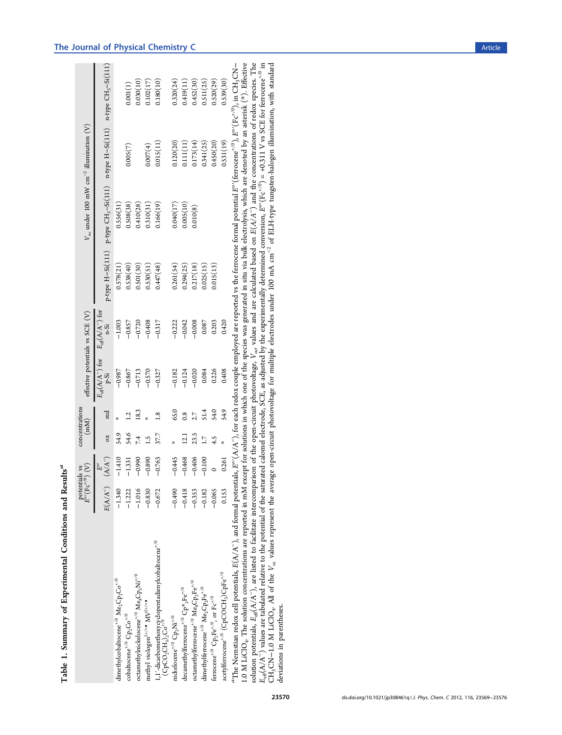|                                                                                                                                                                                                                                                                                                                                                                                                                                                                                                          |          | $\bar{E}^{\rm o}(\mathrm{Fc}^{+/0})$ (V)<br>potentials vs | concentrations<br>$\binom{m}{k}$ |               |                                    | effective potentials vs SCE (V)           |                  | $V_{\rm oc}$ under 100 mW $\rm cm^{-2}$ illumination $\rm (V)$                    |           |           |
|----------------------------------------------------------------------------------------------------------------------------------------------------------------------------------------------------------------------------------------------------------------------------------------------------------------------------------------------------------------------------------------------------------------------------------------------------------------------------------------------------------|----------|-----------------------------------------------------------|----------------------------------|---------------|------------------------------------|-------------------------------------------|------------------|-----------------------------------------------------------------------------------|-----------|-----------|
|                                                                                                                                                                                                                                                                                                                                                                                                                                                                                                          |          | $E(A/A^-)$ $(A/A^-)$<br>$\frac{1}{E^{o}}$                 | $\alpha$                         | red           | $E_{\rm eff}(A/A^-)$ for<br>$P-Si$ | $E_{\rm eff}(\textrm{A/A}^-)$ for<br>n-Si | p-type H-Si(111) | p-type CH <sub>3</sub> -Si(111) n-type H-Si(111) n-type CH <sub>3</sub> -Si(111)  |           |           |
| dimethylcobaltocene <sup>+/0</sup> $\rm{Me_2} \rm{Cp_2} \rm{Co^+}^0$                                                                                                                                                                                                                                                                                                                                                                                                                                     | $-1.340$ | $-1.410$                                                  | 54.9                             |               | $-0.987$                           | $-1.003$                                  | 0.578(21)        | 0.556(31)                                                                         |           |           |
| $\operatorname{cobaltocene}^{+/0} \operatorname{Cp_2Co}^{+/0}$                                                                                                                                                                                                                                                                                                                                                                                                                                           | $-1.222$ | $-1.331$                                                  | \$4.6                            |               | $-0.867$                           | $-0.857$                                  | 0.538(40)        | 0.508(38)                                                                         | 0.005(7)  | 0.001(1)  |
| octamethylnickelocene*/0 $\rm{Me}_8\rm{Cp}_2\rm{Ni}^{+/0}$                                                                                                                                                                                                                                                                                                                                                                                                                                               | $-1.016$ | $-0.990$                                                  | 7.4                              | 18.3          | $-0.713$                           | $-0.720$                                  | 0.501(30)        | 0.410(28)                                                                         |           | 0.030(10) |
| methyl viologen <sup>2+/+•</sup> MV <sup>2+/+•</sup>                                                                                                                                                                                                                                                                                                                                                                                                                                                     | $-0.830$ | $-0.890$                                                  | $\ddot{1}$                       |               | $-0.570$                           | $-0.408$                                  | 0.530(51)        | 0.310(31)                                                                         | 0.007(4)  | 0.102(17) |
| 1,1'-dicarbomethoxycyclopentadienyl<br>cobaltocene ${}^{+\,0}$ (CpCO_CH_s),Co ${}^{+\,0}$                                                                                                                                                                                                                                                                                                                                                                                                                | $-0.672$ | $-0.763$                                                  | 37.7                             | $\frac{8}{1}$ | $-0.327$                           | $-0.317$                                  | 0.447(48)        | 0.166(19)                                                                         | 0.015(11) | 0.180(10) |
| nickelocene $^{+/0}$ Cp <sub>2</sub> Ni $^{+/0}$                                                                                                                                                                                                                                                                                                                                                                                                                                                         | $-0.490$ | $-0.445$                                                  |                                  | 65.0          | $-0.182$                           | $-0.222$                                  | 0.261(54)        | 0.040(17)                                                                         | 0.120(20) | 0.320(24) |
| decame<br>thylferrocene $\hspace{0.1em}^{\ast/0}\mathbb{C}\mathrm{p}^*\hspace{0.1em}{}_2\mathrm{Fe}^{\ast/0}$                                                                                                                                                                                                                                                                                                                                                                                            | $-0.418$ | $-0.468$                                                  | $\overline{21}$                  | $\frac{8}{2}$ | $-0.124$                           | $-0.042$                                  | 0.294(25)        | 0.005(10)                                                                         | 0.111(11) | 0.419(11) |
| octamethylferrocene $^{+\prime 0}$ Me $_{8} \rm{Cp_2Fe}^{+\prime 0}$                                                                                                                                                                                                                                                                                                                                                                                                                                     | $-0.353$ | $-0.406$                                                  | 23.5                             |               | $-0.020$                           | $-0.008$                                  | 0.217(18)        | 0.010(8)                                                                          | 0.173(14) | 0.452(30) |
| dimethylferrocene <sup>+/0</sup> Me <sub>2</sub> Cp <sub>2</sub> Fe <sup>+/0</sup>                                                                                                                                                                                                                                                                                                                                                                                                                       | $-0.182$ | $-0.100$                                                  | $\overline{11}$                  | 51.4          | 0.084                              | 0.087                                     | 0.025(15)        |                                                                                   | 0.341(25) | 0.511(25) |
| ferrocene <sup>+/0</sup> $Cp_2Fe^{+/0}$ , or $Fc^{+/0}$                                                                                                                                                                                                                                                                                                                                                                                                                                                  | $-0.065$ |                                                           | 4.5                              | 54.0          | 0.226                              | 0.203                                     | 0.015(13)        |                                                                                   | 0.450(20) | 0.520(29) |
| acety<br>Iferrocene*/0 (CpCOCH <sub>3</sub> )CpFe* <sup>/0</sup>                                                                                                                                                                                                                                                                                                                                                                                                                                         | 0.153    | 0.261                                                     |                                  | 54.9          | 0.408                              | 0.420                                     |                  |                                                                                   | 0.531(19) | 0.539(30) |
| "The Nernstian redox cell potentials, $E(\mathbb{A}/\mathbf{A}^-)$ , and formal potentials, $E^o(\mathbf{A}/\mathbf{A}^-)$ for each redox couple employed are reported vs the ferrocene formal potential $E^o(\text{Etr}^o\text{ce}n e^{+\prime 0})$ , $E^o(\text{Ff}^o\text{$<br>.0 M LiClO <sub>4</sub> . The solution concentrations are reported in mM except for solutions in which one of the species was generated in situ via bulk electrolysis, which are denoted by an asterisk (*). Effective |          |                                                           |                                  |               |                                    |                                           |                  |                                                                                   |           |           |
|                                                                                                                                                                                                                                                                                                                                                                                                                                                                                                          |          |                                                           |                                  |               |                                    |                                           |                  | "我们的人,我们也不是不是,我们的人,我们也不是一个人,我们的人,我们也不是不是,我们的人,我们也不是,我们的人,我们也不是不是,我们的人,我们也不是,我们也不是 |           |           |

Table 1. Summary of Experimental Conditions and Results<sup>a</sup>

Table 1. Summary of Experimental Conditions and Results<sup>a</sup>

 ${}^a\mathrm{The}$  Nernstian redox cell potentials, 1.0 M LiClO<sub>4</sub>. The solution concentrations are reported in mM except for solutions in which one of the species was generated in situ via bulk electrolysis, which are denoted by an asterisk (\*). E solution potentials,  $E_{\text{eff}}(A/A^-)$ , are listed to facilitate intercomparison of the open-circuit photovoltage,  $V_{\alpha\sigma}$  values and are calculated based on E(A/A−) and the concentrations of redox species. The  $E_{\text{eff}}(\text{A}/\text{A}^-)$  values are tabulated relative to the potential of the saturated calomel electrode, SCE, as adjusted by the experimentally determined conversion, Eo  $'(Fe^{+/0}) = +0.311$  V vs SCE for ferrocene<sup>+/0</sup> in CH, $\text{CN}-1.0$  M LiClO<sub>4</sub>. All of the  $V_{\rm oc}$  values represent the average open-circuit photovoltage for multiple electrodes under 100 mA cm $^{-2}$  of ELH-type tungsten-halogen illumination, with standard deviations in parentheses.

## <span id="page-1-0"></span>The Journal of Physical Chemistry C and the Second Second Second Second Second Second Second Second Second Second Second Second Second Second Second Second Second Second Second Second Second Second Second Second Second Sec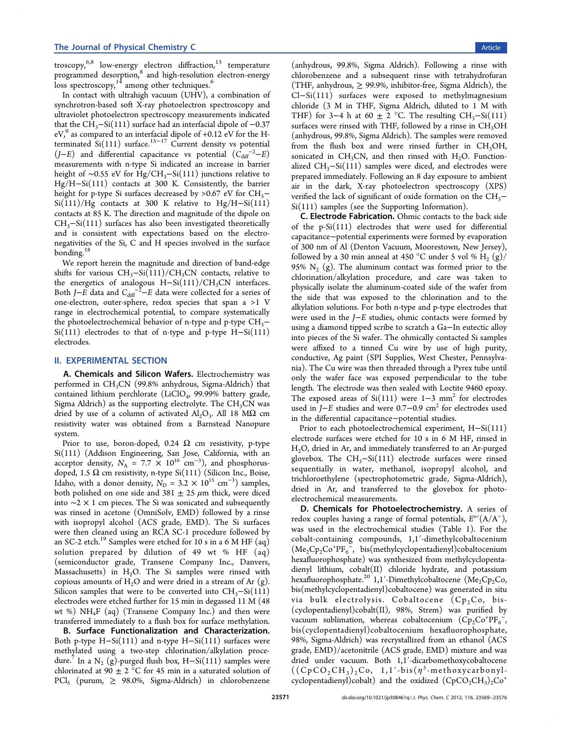troscopy, $^{6,8}$  $^{6,8}$  $^{6,8}$  $^{6,8}$  $^{6,8}$  low-energy electron diffraction, $^{13}$  $^{13}$  $^{13}$  temperature programmed desorption,<sup>[8](#page-6-0)</sup> and high-resolution electron-energy loss spectroscopy, $14$  among other techniques.<sup>[6](#page-6-0)</sup>

In contact with ultrahigh vacuum (UHV), a combination of synchrotron-based soft X-ray photoelectron spectroscopy and ultraviolet photoelectron spectroscopy measurements indicated that the  $CH_3-Si(111)$  surface had an interfacial dipole of  $-0.37$ eV, $9$  as compared to an interfacial dipole of +0.12 eV for the Hterminated  $\text{Si(111)}$  surface.<sup>[15](#page-7-0)−[17](#page-7-0)</sup> Current density vs potential  $(J-E)$  and differential capacitance vs potential  $(\tilde{C}_{diff}^{-2} - E)$ measurements with n-type Si indicated an increase in barrier height of ~0.55 eV for Hg/CH<sub>3</sub>−Si(111) junctions relative to Hg/H−Si(111) contacts at 300 K. Consistently, the barrier height for p-type Si surfaces decreased by >0.67 eV for  $CH_3$ –  $Si(111)/Hg$  contacts at 300 K relative to Hg/H–Si $(111)$ contacts at 85 K. The direction and magnitude of the dipole on  $CH<sub>3</sub>-Si(111)$  surfaces has also been investigated theoretically and is consistent with expectations based on the electronegativities of the Si, C and H species involved in the surface bonding.<sup>[18](#page-7-0)</sup>

We report herein the magnitude and direction of band-edge shifts for various  $CH_3-Si(111)/CH_3CN$  contacts, relative to the energetics of analogous H-Si(111)/CH<sub>3</sub>CN interfaces. Both J–E data and  $C_{\text{diff}}^{-2}$ –E data were collected for a series of one-electron, outer-sphere, redox species that span a >1 V range in electrochemical potential, to compare systematically the photoelectrochemical behavior of n-type and p-type  $CH<sub>3</sub>$ − Si(111) electrodes to that of n-type and p-type H−Si(111) electrodes.

## II. EXPERIMENTAL SECTION

A. Chemicals and Silicon Wafers. Electrochemistry was performed in  $CH_3CN$  (99.8% anhydrous, Sigma-Aldrich) that contained lithium perchlorate (LiClO<sub>4</sub>, 99.99% battery grade, Sigma Aldrich) as the supporting electrolyte. The  $CH<sub>3</sub>CN$  was dried by use of a column of activated  $Al_2O_3$ . All 18 M $\Omega$  cm resistivity water was obtained from a Barnstead Nanopure system.

Prior to use, boron-doped, 0.24  $\Omega$  cm resistivity, p-type Si(111) (Addison Engineering, San Jose, California, with an acceptor density,  $N_A = 7.7 \times 10^{16} \text{ cm}^{-3}$ ), and phosphorusdoped, 1.5  $\Omega$  cm resistivity, n-type Si(111) (Silicon Inc., Boise, Idaho, with a donor density,  $N_D = 3.2 \times 10^{15} \text{ cm}^{-3}$ ) samples, both polished on one side and  $381 \pm 25 \ \mu m$  thick, were diced into ∼2 × 1 cm pieces. The Si was sonicated and subsequently was rinsed in acetone (OmniSolv, EMD) followed by a rinse with isopropyl alcohol (ACS grade, EMD). The Si surfaces were then cleaned using an RCA SC-1 procedure followed by an SC-2 etch.<sup>[19](#page-7-0)</sup> Samples were etched for 10 s in a 6 M HF (aq) solution prepared by dilution of 49 wt % HF (aq) (semiconductor grade, Transene Company Inc., Danvers, Massachusetts) in  $H_2O$ . The Si samples were rinsed with copious amounts of  $H_2O$  and were dried in a stream of Ar  $(g)$ . Silicon samples that were to be converted into  $CH<sub>3</sub>$ -Si(111) electrodes were etched further for 15 min in degassed 11 M (48 wt %)  $NH_4F$  (aq) (Transene Company Inc.) and then were transferred immediately to a flush box for surface methylation.

B. Surface Functionalization and Characterization. Both p-type H−Si(111) and n-type H−Si(111) surfaces were methylated using a two-step chlorination/alkylation proce-dure.<sup>[7](#page-6-0)</sup> In a N<sub>2</sub> (g)-purged flush box, H–Si(111) samples were chlorinated at 90  $\pm$  2 °C for 45 min in a saturated solution of  $PCl<sub>5</sub>$  (purum,  $\geq$  98.0%, Sigma-Aldrich) in chlorobenzene

(anhydrous, 99.8%, Sigma Aldrich). Following a rinse with chlorobenzene and a subsequent rinse with tetrahydrofuran (THF, anhydrous, ≥ 99.9%, inhibitor-free, Sigma Aldrich), the Cl−Si(111) surfaces were exposed to methylmagnesium chloride (3 M in THF, Sigma Aldrich, diluted to 1 M with THF) for 3–4 h at 60  $\pm$  2 °C. The resulting CH<sub>3</sub>–Si(111) surfaces were rinsed with THF, followed by a rinse in  $CH<sub>3</sub>OH$ (anhydrous, 99.8%, Sigma Aldrich). The samples were removed from the flush box and were rinsed further in  $CH<sub>3</sub>OH$ , sonicated in CH<sub>3</sub>CN, and then rinsed with H<sub>2</sub>O. Functionalized  $CH_3-Si(111)$  samples were diced, and electrodes were prepared immediately. Following an 8 day exposure to ambient air in the dark, X-ray photoelectron spectroscopy (XPS) verified the lack of significant of oxide formation on the  $CH_3$ − Si(111) samples (see the [Supporting Information](#page-6-0)).

C. Electrode Fabrication. Ohmic contacts to the back side of the p-Si(111) electrodes that were used for differential capacitance−potential experiments were formed by evaporation of 300 nm of Al (Denton Vacuum, Moorestown, New Jersey), followed by a 30 min anneal at 450 °C under 5 vol %  $H_2(g)/$ 95%  $N_2$  (g). The aluminum contact was formed prior to the chlorination/alkylation procedure, and care was taken to physically isolate the aluminum-coated side of the wafer from the side that was exposed to the chlorination and to the alkylation solutions. For both n-type and p-type electrodes that were used in the J−E studies, ohmic contacts were formed by using a diamond tipped scribe to scratch a Ga−In eutectic alloy into pieces of the Si wafer. The ohmically contacted Si samples were affixed to a tinned Cu wire by use of high purity, conductive, Ag paint (SPI Supplies, West Chester, Pennsylvania). The Cu wire was then threaded through a Pyrex tube until only the wafer face was exposed perpendicular to the tube length. The electrode was then sealed with Loctite 9460 epoxy. The exposed areas of  $Si(111)$  were 1–3 mm<sup>2</sup> for electrodes used in  $J-E$  studies and were 0.7–0.9 cm<sup>2</sup> for electrodes used in the differential capacitance−potential studies.

Prior to each photoelectrochemical experiment, H−Si(111) electrode surfaces were etched for 10 s in 6 M HF, rinsed in H2O, dried in Ar, and immediately transferred to an Ar-purged glovebox. The  $CH_3-Si(111)$  electrode surfaces were rinsed sequentially in water, methanol, isopropyl alcohol, and trichloroethylene (spectrophotometric grade, Sigma-Aldrich), dried in Ar, and transferred to the glovebox for photoelectrochemical measurements.

D. Chemicals for Photoelectrochemistry. A series of redox couples having a range of formal potentials,  $E^{\circ\prime}(\text{A/A}^{-})$ , was used in the electrochemical studies (Table [1](#page-1-0)). For the cobalt-containing compounds, 1,1′-dimethylcobaltocenium  $(Me_2Cp_2Co^+PF_6^-$ , bis(methylcyclopentadienyl)cobaltocenium hexafluorophosphate) was synthesized from methylcyclopentadienyl lithium, cobalt(II) chloride hydrate, and potassium hexafluorophosphate.<sup>[20](#page-7-0)</sup> 1,1'-Dimethylcobaltocene (Me<sub>2</sub>Cp<sub>2</sub>Co, bis(methylcyclopentadienyl)cobaltocene) was generated in situ via bulk electrolysis. Cobaltocene  $(Cp_2Co, bis-$ (cyclopentadienyl)cobalt(II), 98%, Strem) was purified by vacuum sublimation, whereas cobaltocenium  $(\overline{Cp}_2Co^+P\overline{F_6}^{-},$ bis(cyclopentadienyl)cobaltocenium hexafluorophosphate, 98%, Sigma-Aldrich) was recrystallized from an ethanol (ACS grade, EMD)/acetonitrile (ACS grade, EMD) mixture and was dried under vacuum. Both 1,1′-dicarbomethoxycobaltocene  $((CpCO<sub>2</sub>CH<sub>3</sub>)<sub>2</sub>Co, 1,1'-bis( $\eta$ <sup>5</sup>-methoxycarbonyl$ cyclopentadienyl)cobalt) and the oxidized  $(CpCO_2CH_3)_2Co^+$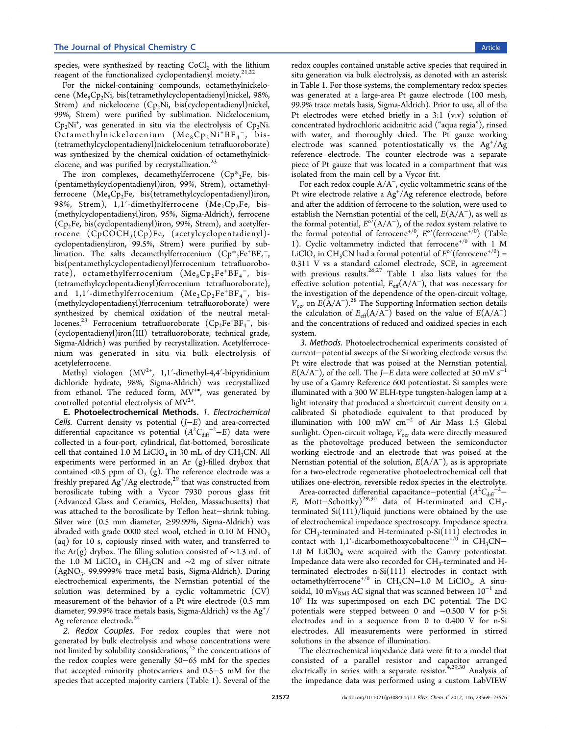species, were synthesized by reacting  $CoCl<sub>2</sub>$  with the lithium reagent of the functionalized cyclopentadienyl moiety.<sup>[21,22](#page-7-0)</sup>

For the nickel-containing compounds, octamethylnickelocene (Me<sub>8</sub>Cp<sub>2</sub>Ni, bis(tetramethylcyclopentadienyl)nickel, 98%, Strem) and nickelocene  $(Cp_2Ni, bis(cyclopentadienyl)nickel,$ 99%, Strem) were purified by sublimation. Nickelocenium,  $Cp_2Ni^+$ , was generated in situ via the electrolysis of  $Cp_2Ni$ .  $Octamethylnickelocenium (Me<sub>8</sub> Cp<sub>2</sub>Ni<sup>+</sup> BF<sub>4</sub>$ <sup>-</sup>, bis-(tetramethylcyclopentadienyl)nickelocenium tetrafluoroborate) was synthesized by the chemical oxidation of octamethylnickelocene, and was purified by recrystallization. $^{23}$  $^{23}$  $^{23}$ 

The iron complexes, decamethylferrocene  $(Cp^*{}_{2}Fe, bis-$ (pentamethylcyclopentadienyl)iron, 99%, Strem), octamethylferrocene  $(Me_8Cp_2Fe, bis(tetramethylcyclopentalienv1)iron,$ 98%, Strem),  $1,1'$ -dimethylferrocene (Me<sub>2</sub>Cp<sub>2</sub>Fe, bis-(methylcyclopentadienyl)iron, 95%, Sigma-Aldrich), ferrocene  $(Cp<sub>2</sub>Fe, bis(cyclopentadienyl)iron, 99%, Stern), and acetylfer$ rocene  $(CpCOCH<sub>3</sub>(Cp)Fe$ , (acetylcyclopentadienyl)cyclopentadienyliron, 99.5%, Strem) were purified by sublimation. The salts decamethylferrocenium  $(\text{Cp} *_{2} \text{Fe}^+\text{BF}_{4}^-)$ bis(pentamethylcyclopentadienyl)ferrocenium tetrafluoroborate), octamethylferrocenium  $(Me_8Cp_2Fe^+BF_4^-$ , bis-(tetramethylcyclopentadienyl)ferrocenium tetrafluoroborate), and  $1,1'$ -dimethylferrocenium  $(Me_2Cp_2Fe^+BF_4^-$ , bis-(methylcyclopentadienyl)ferrocenium tetrafluoroborate) were synthesized by chemical oxidation of the neutral metal-locenes.<sup>[23](#page-7-0)</sup> Ferrocenium tetrafluoroborate  $(\text{Cp}_2\text{Fe}^+\text{BF}_4^-$ , bis-(cyclopentadienyl)iron(III) tetrafluoroborate, technical grade, Sigma-Aldrich) was purified by recrystallization. Acetylferrocenium was generated in situ via bulk electrolysis of acetyleferrocene.

Methyl viologen  $(MV^{2+}, 1, 1'-dimethyl-4, 4'-bipyridinium)$ dichloride hydrate, 98%, Sigma-Aldrich) was recrystallized from ethanol. The reduced form, MV<sup>+</sup>, was generated by controlled potential electrolysis of  $MV^{2+}$ .

E. Photoelectrochemical Methods. 1. Electrochemical Cells. Current density vs potential  $(J-E)$  and area-corrected differential capacitance vs potential  $(A^2C_{\text{diff}}^{-2}-E)$  data were collected in a four-port, cylindrical, flat-bottomed, borosilicate cell that contained 1.0 M LiClO<sub>4</sub> in 30 mL of dry CH<sub>3</sub>CN. All experiments were performed in an Ar  $(g)$ -filled drybox that contained <0.5 ppm of  $O<sub>2</sub>$  (g). The reference electrode was a freshly prepared Ag<sup>+</sup>/Ag electrode,<sup>[29](#page-7-0)</sup> that was constructed from borosilicate tubing with a Vycor 7930 porous glass frit (Advanced Glass and Ceramics, Holden, Massachusetts) that was attached to the borosilicate by Teflon heat−shrink tubing. Silver wire (0.5 mm diameter, ≥99.99%, Sigma-Aldrich) was abraded with grade 0000 steel wool, etched in  $0.10 M HNO<sub>3</sub>$ (aq) for 10 s, copiously rinsed with water, and transferred to the Ar(g) drybox. The filling solution consisted of ∼1.3 mL of the 1.0 M LiClO<sub>4</sub> in CH<sub>3</sub>CN and ∼2 mg of silver nitrate (AgNO3, 99.9999% trace metal basis, Sigma-Aldrich). During electrochemical experiments, the Nernstian potential of the solution was determined by a cyclic voltammetric (CV) measurement of the behavior of a Pt wire electrode (0.5 mm diameter, 99.99% trace metals basis, Sigma-Aldrich) vs the  $Ag^{\pm}/$ Ag reference electrode.<sup>[24](#page-7-0)</sup>

2. Redox Couples. For redox couples that were not generated by bulk electrolysis and whose concentrations were not limited by solubility considerations, $25$  the concentrations of the redox couples were generally 50−65 mM for the species that accepted minority photocarriers and 0.5−5 mM for the species that accepted majority carriers (Table [1](#page-1-0)). Several of the

redox couples contained unstable active species that required in situ generation via bulk electrolysis, as denoted with an asterisk in Table [1.](#page-1-0) For those systems, the complementary redox species was generated at a large-area Pt gauze electrode (100 mesh, 99.9% trace metals basis, Sigma-Aldrich). Prior to use, all of the Pt electrodes were etched briefly in a 3:1 (v:v) solution of concentrated hydrochloric acid:nitric acid ("aqua regia"), rinsed with water, and thoroughly dried. The Pt gauze working electrode was scanned potentiostatically vs the Ag<sup>+</sup>/Ag reference electrode. The counter electrode was a separate piece of Pt gauze that was located in a compartment that was isolated from the main cell by a Vycor frit.

For each redox couple A/A<sup>−</sup>, cyclic voltammetric scans of the Pt wire electrode relative a Ag<sup>+</sup>/Ag reference electrode, before and after the addition of ferrocene to the solution, were used to establish the Nernstian potential of the cell,  $E(A/A^-)$ , as well as the formal potential,  $E^{\circ}(A/A^{-})$ , of the redox system relative to the formal potential of ferrocene<sup>+/0</sup>,  $E^{\rm o}{}'$ (ferrocene<sup>+/0</sup>) (Table [1](#page-1-0)). Cyclic voltammetry indicted that ferrocene<sup>+/0</sup> with 1 M LiClO<sub>4</sub> in CH<sub>3</sub>CN had a formal potential of  $E^{\circ}$ <sup>'</sup> (ferrocene<sup>+/0</sup>) = 0.311 V vs a standard calomel electrode, SCE, in agreement with previous results.<sup>[26](#page-7-0),[27](#page-7-0)</sup> Table [1](#page-1-0) also lists values for the effective solution potential,  $E_{\text{eff}}(A/A^{-})$ , that was necessary for the investigation of the dependence of the open-circuit voltage,  $V_{\text{o}c}$  on  $E(\text{A/A}^{-})$ .<sup>[28](#page-7-0)</sup> The [Supporting Information](#page-6-0) section details the calculation of  $E_{\text{eff}}(A/A^-)$  based on the value of  $E(A/A^-)$ and the concentrations of reduced and oxidized species in each system.

3. Methods. Photoelectrochemical experiments consisted of current−potential sweeps of the Si working electrode versus the Pt wire electrode that was poised at the Nernstian potential,  $E(A/A<sup>-</sup>)$ , of the cell. The *J*−E data were collected at 50 mV s<sup>-1</sup> by use of a Gamry Reference 600 potentiostat. Si samples were illuminated with a 300 W ELH-type tungsten-halogen lamp at a light intensity that produced a shortcircuit current density on a calibrated Si photodiode equivalent to that produced by illumination with 100 mW cm<sup>−</sup><sup>2</sup> of Air Mass 1.5 Global sunlight. Open-circuit voltage,  $V_{\alpha\beta}$  data were directly measured as the photovoltage produced between the semiconductor working electrode and an electrode that was poised at the Nernstian potential of the solution,  $E(A/A^{-})$ , as is appropriate for a two-electrode regenerative photoelectrochemical cell that utilizes one-electron, reversible redox species in the electrolyte.

Area-corrected differential capacitance–potential  $(A^2C_{\text{diff}}^2$ <sup>-2</sup> E, Mott–Schottky)<sup>[29,30](#page-7-0)</sup> data of H-terminated and  $CH_3$ terminated Si(111)/liquid junctions were obtained by the use of electrochemical impedance spectroscopy. Impedance spectra for  $CH_3$ -terminated and H-terminated p-Si $(111)$  electrodes in contact with 1,1′-dicarbomethoxycobaltocene<sup>+/0</sup> in CH<sub>3</sub>CN− 1.0 M  $LiClO<sub>4</sub>$  were acquired with the Gamry potentiostat. Impedance data were also recorded for  $CH<sub>3</sub>$ -terminated and Hterminated electrodes n-Si(111) electrodes in contact with octamethylferrocene<sup>+/0</sup> in CH<sub>3</sub>CN-1.0 M LiClO<sub>4</sub>. A sinusoidal, 10 mV<sub>RMS</sub> AC signal that was scanned between 10<sup>-1</sup> and 10<sup>6</sup> Hz was superimposed on each DC potential. The DC potentials were stepped between 0 and −0.500 V for p-Si electrodes and in a sequence from 0 to 0.400 V for n-Si electrodes. All measurements were performed in stirred solutions in the absence of illumination.

The electrochemical impedance data were fit to a model that consisted of a parallel resistor and capacitor arranged electrically in series with a separate resistor.<sup>[4](#page-6-0),[29,30](#page-7-0)</sup> Analysis of the impedance data was performed using a custom LabVIEW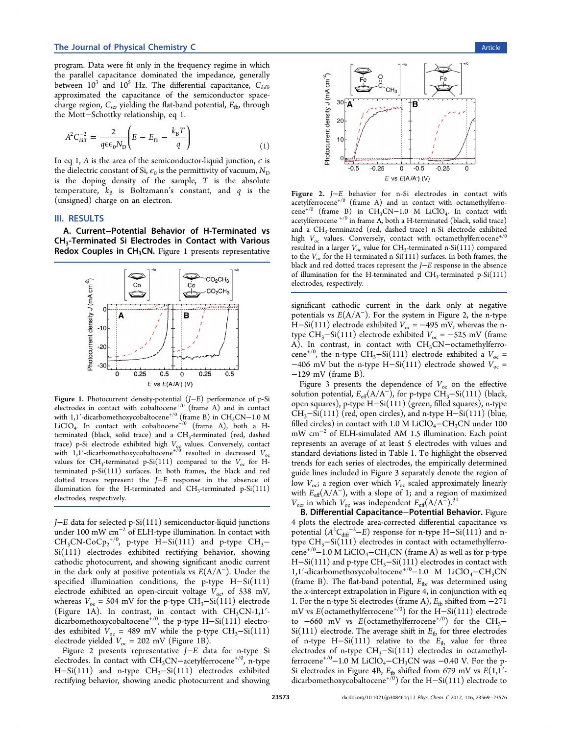#### The Journal of Physical Chemistry C and the Second Second Second Second Second Second Second Second Second Second Second Second Second Second Second Second Second Second Second Second Second Second Second Second Second Sec

program. Data were fit only in the frequency regime in which the parallel capacitance dominated the impedance, generally between  $10^3$  and  $10^5$  Hz. The differential capacitance,  $C_{diff}$ , approximated the capacitance of the semiconductor spacecharge region,  $C_{\rm sc}$ , yielding the flat-band potential,  $E_{\rm fb}$ , through the Mott−Schottky relationship, eq 1.

$$
A^2 C_{\text{diff}}^{-2} = \frac{2}{q \epsilon \epsilon_0 N_{\text{D}}} \left( E - E_{\text{fb}} - \frac{k_{\text{B}} T}{q} \right) \tag{1}
$$

In eq 1, A is the area of the semiconductor-liquid junction,  $\epsilon$  is the dielectric constant of Si,  $\epsilon_0$  is the permittivity of vacuum,  $N_D$ is the doping density of the sample,  $T$  is the absolute temperature,  $k_B$  is Boltzmann's constant, and q is the (unsigned) charge on an electron.

#### III. RESULTS

A. Current−Potential Behavior of H-Terminated vs CH3-Terminated Si Electrodes in Contact with Various Redox Couples in  $CH<sub>3</sub>CN$ . Figure 1 presents representative



Figure 1. Photocurrent density-potential (J−E) performance of p-Si electrodes in contact with cobaltocene<sup>+/0</sup> (frame A) and in contact with 1,1'-dicarbomethoxycobaltocene<sup>+/0</sup> (frame B) in CH<sub>3</sub>CN-1.0 M LiClO<sub>4</sub>. In contact with cobaltocene<sup>+/0</sup> (frame A), both a Hterminated (black, solid trace) and a CH<sub>3</sub>-terminated (red, dashed trace) p-Si electrode exhibited high  $V_{\text{og}}$  values. Conversely, contact with 1,1'-dicarbomethoxycobaltocene<sup>+/0</sup> resulted in decreased  $V_{\text{oc}}$ values for CH<sub>3</sub>-terminated p-Si(111) compared to the  $V_{oc}$  for Hterminated p-Si(111) surfaces. In both frames, the black and red dotted traces represent the J−E response in the absence of illumination for the H-terminated and  $CH_3$ -terminated p-Si(111) electrodes, respectively.

J−E data for selected p-Si(111) semiconductor-liquid junctions under 100 mW cm<sup>−</sup><sup>2</sup> of ELH-type illumination. In contact with  $CH_3CN\text{-}CoCp_2^{+/0}$ , p-type  $H-Si(111)$  and p-type  $CH_3-$ Si(111) electrodes exhibited rectifying behavior, showing cathodic photocurrent, and showing significant anodic current in the dark only at positive potentials vs  $E(A/A^-)$ . Under the specified illumination conditions, the p-type H−Si(111) electrode exhibited an open-circuit voltage  $V_{\text{o}c}$  of 538 mV, whereas  $V_{\text{oc}}$  = 504 mV for the p-type CH<sub>3</sub>–Si(111) electrode (Figure 1A). In contrast, in contact with  $CH<sub>3</sub>CN-1,1'$ . dicarbomethoxycobaltocene<sup>+/0</sup>, the p-type H–Si(111) electrodes exhibited  $V_{oc}$  = 489 mV while the p-type CH<sub>3</sub>-Si(111) electrode yielded  $V_{\text{oc}} = 202$  mV (Figure 1B).

Figure 2 presents representative J−E data for n-type Si electrodes. In contact with CH<sub>3</sub>CN-acetylferrocene<sup>+/0</sup>, n-type H-Si(111) and n-type  $CH_3-Si(111)$  electrodes exhibited rectifying behavior, showing anodic photocurrent and showing



Figure 2. J−E behavior for n-Si electrodes in contact with  $\arctan$ - $\arctan e^{+(0)}$  (frame A) and in contact with octamethylferrocene<sup>+/0</sup> (frame B) in CH<sub>3</sub>CN-1.0 M LiClO<sub>4</sub>. In contact with acetylferrocene  $^{+/0}$  in frame A, both a H-terminated (black, solid trace) and a CH<sub>3</sub>-terminated (red, dashed trace) n-Si electrode exhibited high  $V_{\text{oc}}$  values. Conversely, contact with octamethylferrocene<sup>+/0</sup> resulted in a larger  $V_{\text{oc}}$  value for CH<sub>3</sub>-terminated n-Si(111) compared to the  $V_{oc}$  for the H-terminated n-Si(111) surfaces. In both frames, the black and red dotted traces represent the J−E response in the absence of illumination for the H-terminated and CH3-terminated p-Si(111) electrodes, respectively.

significant cathodic current in the dark only at negative potentials vs  $E(A/A^-)$ . For the system in Figure 2, the n-type H–Si(111) electrode exhibited  $V_{\text{oc}}$  = −495 mV, whereas the ntype CH<sub>3</sub>−Si(111) electrode exhibited  $V_{\text{oc}}$  = −525 mV (frame A). In contrast, in contact with CH3CN-octamethylferrocene<sup>+/0</sup>, the n-type CH<sub>3</sub>−Si(111) electrode exhibited a  $V_{\text{oc}}$  = −406 mV but the n-type H−Si(111) electrode showed  $V_{\text{oc}}$  = −129 mV (frame B).

Figure [3](#page-5-0) presents the dependence of  $V_{\text{oc}}$  on the effective solution potential,  $E_{\text{eff}}(A/A^{-})$ , for p-type CH<sub>3</sub>–Si(111) (black, open squares), p-type H−Si(111) (green, filled squares), n-type CH3−Si(111) (red, open circles), and n-type H−Si(111) (blue, filled circles) in contact with 1.0 M LiClO<sub>4</sub> $-$ CH<sub>3</sub>CN under 100 mW cm<sup>−</sup><sup>2</sup> of ELH-simulated AM 1.5 illumination. Each point represents an average of at least 5 electrodes with values and standard deviations listed in Table [1.](#page-1-0) To highlight the observed trends for each series of electrodes, the empirically determined guide lines included in Figure [3](#page-5-0) separately denote the region of low  $V_{oc}$ ; a region over which  $V_{oc}$  scaled approximately linearly with  $E_{\text{eff}}(A/A^{-})$ , with a slope of 1; and a region of maximized  $V_{\text{oc}}$  in which  $V_{\text{oc}}$  was independent  $E_{\text{eff}}(A/A^{-})$ .<sup>[31](#page-7-0)</sup>

B. Differential Capacitance−Potential Behavior. Figure [4](#page-5-0) plots the electrode area-corrected differential capacitance vs potential  $(A^2C_{\text{diff}}^2 - E)$  response for n-type H–Si(111) and ntype  $CH_3$ -Si(111) electrodes in contact with octamethylferrocene<sup>+/0</sup>−1.0 M LiClO<sub>4</sub>−CH<sub>3</sub>CN (frame A) as well as for p-type H−Si(111) and p-type CH<sub>3</sub>−Si(111) electrodes in contact with 1,1'-dicarbomethoxycobaltocene<sup>+/0</sup>−1.0 M LiClO<sub>4</sub>−CH<sub>3</sub>CN (frame B). The flat-band potential,  $E_{\text{fb}}$ , was determined using the  $x$ -intercept extrapolation in Figure [4,](#page-5-0) in conjunction with eq 1. For the n-type Si electrodes (frame A),  $E_{\text{fb}}$  shifted from −271 mV vs E(octamethylferrocene<sup>+/0</sup>) for the H-Si(111) electrode to  $-660$  mV vs E(octamethylferrocene<sup>+/0</sup>) for the CH<sub>3</sub> $Si(111)$  electrode. The average shift in  $E_{\text{fb}}$  for three electrodes of n-type H-Si(111) relative to the  $E_{\text{fb}}$  value for three electrodes of n-type CH<sub>3</sub>−Si(111) electrodes in octamethylferrocene<sup>+/0</sup>−1.0 M LiClO<sub>4</sub>−CH<sub>3</sub>CN was −0.40 V. For the p-Si electrodes in Figure [4B](#page-5-0),  $E_{\text{fb}}$  shifted from 679 mV vs  $E(1,1)$ dicarbomethoxycobaltocene<sup>+/0</sup>) for the H-Si(111) electrode to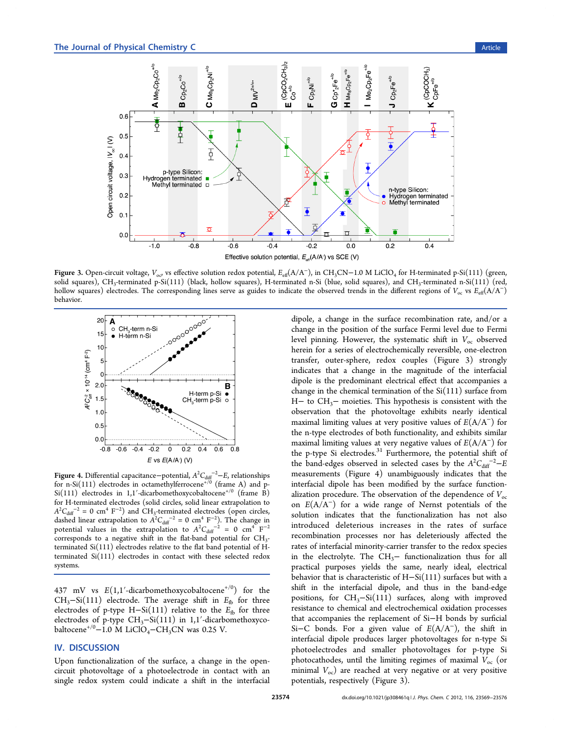<span id="page-5-0"></span>

Figure 3. Open-circuit voltage,  $V_{oo}$  vs effective solution redox potential,  $E_{\text{eff}}(A/A^-)$ , in CH<sub>3</sub>CN−1.0 M LiClO<sub>4</sub> for H-terminated p-Si(111) (green, solid squares), CH<sub>3</sub>-terminated p-Si(111) (black, hollow squares), H-terminated n-Si (blue, solid squares), and CH<sub>3</sub>-terminated n-Si(111) (red, hollow squares) electrodes. The corresponding lines serve as guides to indicate the observed trends in the different regions of  $V_{oc}$  vs  $E_{\text{eff}}(A/A^{-})$ behavior.



Figure 4. Differential capacitance–potential,  $A^2 C_{\text{diff}}^{\text{--}2}$ –E, relationships for n-Si $(111)$  electrodes in octamethylferrocene<sup>+/0</sup> (frame A) and p-Si(111) electrodes in 1,1'-dicarbomethoxycobaltocene<sup>+/0</sup> (frame B) for H-terminated electrodes (solid circles, solid linear extrapolation to  $A^{2}C_{\text{diff}}^{-2} = 0$  cm<sup>4</sup> F<sup>-2</sup>) and CH<sub>3</sub>-terminated electrodes (open circles, dashed linear extrapolation to  $A^2C_{\text{diff}}^{-2} = 0$  cm<sup>4</sup> F<sup>-2</sup>). The change in potential values in the extrapolation to  $A^2C_{\text{diff}}^{\qquad -2} = 0$  cm<sup>4</sup> F<sup>-2</sup> corresponds to a negative shift in the flat-band potential for  $CH<sub>3</sub>$ terminated Si(111) electrodes relative to the flat band potential of Hterminated Si(111) electrodes in contact with these selected redox systems.

437 mV vs  $E(1,1'-dicarbomethoxycobaltocene<sup>+/0</sup>)$  for the CH<sub>3</sub>–Si(111) electrode. The average shift in  $E_{\text{fb}}$  for three electrodes of p-type H-Si(111) relative to the  $E_{\text{fb}}$  for three electrodes of p-type CH<sub>3</sub>-Si(111) in 1,1'-dicarbomethoxycobaltocene<sup>+/0</sup>−1.0 M LiClO<sub>4</sub>−CH<sub>3</sub>CN was 0.25 V.

## IV. DISCUSSION

Upon functionalization of the surface, a change in the opencircuit photovoltage of a photoelectrode in contact with an single redox system could indicate a shift in the interfacial

dipole, a change in the surface recombination rate, and/or a change in the position of the surface Fermi level due to Fermi level pinning. However, the systematic shift in  $V_{\text{oc}}$  observed herein for a series of electrochemically reversible, one-electron transfer, outer-sphere, redox couples (Figure 3) strongly indicates that a change in the magnitude of the interfacial dipole is the predominant electrical effect that accompanies a change in the chemical termination of the  $Si(111)$  surface from H− to CH3− moieties. This hypothesis is consistent with the observation that the photovoltage exhibits nearly identical maximal limiting values at very positive values of  $E(A/A^-)$  for the n-type electrodes of both functionality, and exhibits similar maximal limiting values at very negative values of  $E(A/A^-)$  for the p-type Si electrodes. $31$  Furthermore, the potential shift of the band-edges observed in selected cases by the  $A^2C_{\text{diff}}{}^{-2}$ –E measurements (Figure 4) unambiguously indicates that the interfacial dipole has been modified by the surface functionalization procedure. The observation of the dependence of  $V_{\text{oc}}$ on  $E(A/A^-)$  for a wide range of Nernst potentials of the solution indicates that the functionalization has not also introduced deleterious increases in the rates of surface recombination processes nor has deleteriously affected the rates of interfacial minority-carrier transfer to the redox species in the electrolyte. The CH<sub>3</sub> $-$  functionalization thus for all practical purposes yields the same, nearly ideal, electrical behavior that is characteristic of H−Si(111) surfaces but with a shift in the interfacial dipole, and thus in the band-edge positions, for CH3−Si(111) surfaces, along with improved resistance to chemical and electrochemical oxidation processes that accompanies the replacement of Si−H bonds by surficial Si–C bonds. For a given value of  $E(A/A^-)$ , the shift in interfacial dipole produces larger photovoltages for n-type Si photoelectrodes and smaller photovoltages for p-type Si photocathodes, until the limiting regimes of maximal  $V_{\text{oc}}$  (or minimal  $V_{\text{oc}}$ ) are reached at very negative or at very positive potentials, respectively (Figure 3).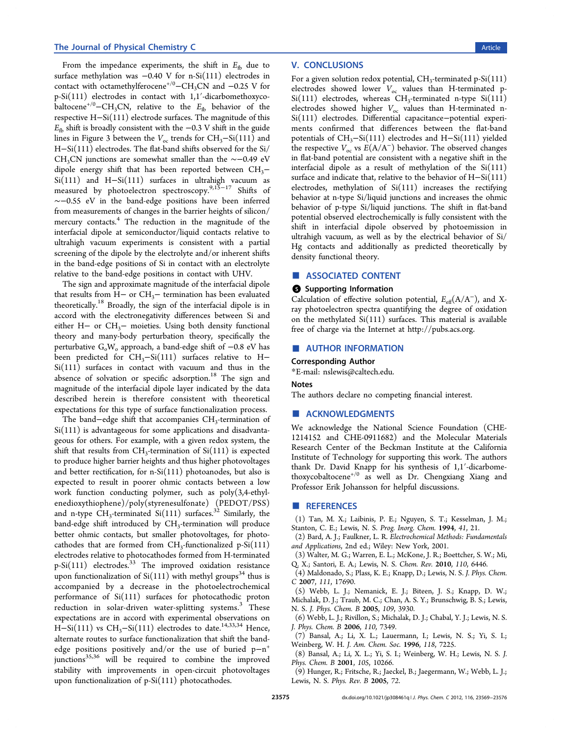#### <span id="page-6-0"></span>The Journal of Physical Chemistry C and the Second Second Second Second Second Second Second Second Second Second Second Second Second Second Second Second Second Second Second Second Second Second Second Second Second Sec

From the impedance experiments, the shift in  $E_{\text{fb}}$  due to surface methylation was −0.40 V for n-Si(111) electrodes in contact with octamethylferocene<sup>+/0</sup>−CH<sub>3</sub>CN and −0.25 V for p-Si(111) electrodes in contact with 1,1′-dicarbomethoxycobaltocene<sup>+/0</sup>−CH<sub>3</sub>CN, relative to the  $E_{\text{fb}}$  behavior of the respective H−Si(111) electrode surfaces. The magnitude of this  $E<sub>f</sub>$  shift is broadly consistent with the −0.3 V shift in the guide lines in Figure [3](#page-5-0) between the  $V_{\text{oc}}$  trends for CH<sub>3</sub>–Si(111) and H−Si(111) electrodes. The flat-band shifts observed for the Si/ CH<sub>3</sub>CN junctions are somewhat smaller than the ∼−0.49 eV dipole energy shift that has been reported between  $CH<sub>3</sub>−$ Si(111) and H−Si(111) surfaces in ultrahigh vacuum as measured by photoelectron spectroscopy.<sup>9[,15](#page-7-0)−[17](#page-7-0)</sup> Shifts of ∼−0.55 eV in the band-edge positions have been inferred from measurements of changes in the barrier heights of silicon/ mercury contacts.<sup>4</sup> The reduction in the magnitude of the interfacial dipole at semiconductor/liquid contacts relative to ultrahigh vacuum experiments is consistent with a partial screening of the dipole by the electrolyte and/or inherent shifts in the band-edge positions of Si in contact with an electrolyte relative to the band-edge positions in contact with UHV.

The sign and approximate magnitude of the interfacial dipole that results from H− or  $CH_3$ − termination has been evaluated theoretically.<sup>[18](#page-7-0)</sup> Broadly, the sign of the interfacial dipole is in accord with the electronegativity differences between Si and either H− or CH3− moieties. Using both density functional theory and many-body perturbation theory, specifically the perturbative  $G_0W_0$  approach, a band-edge shift of  $-0.8 \text{ eV}$  has been predicted for  $CH_3-Si(111)$  surfaces relative to H− Si(111) surfaces in contact with vacuum and thus in the absence of solvation or specific adsorption.<sup>[18](#page-7-0)</sup> The sign and magnitude of the interfacial dipole layer indicated by the data described herein is therefore consistent with theoretical expectations for this type of surface functionalization process.

The band–edge shift that accompanies CH<sub>3</sub>-termination of Si(111) is advantageous for some applications and disadvantageous for others. For example, with a given redox system, the shift that results from  $CH_3$ -termination of  $Si(111)$  is expected to produce higher barrier heights and thus higher photovoltages and better rectification, for  $n-Si(111)$  photoanodes, but also is expected to result in poorer ohmic contacts between a low work function conducting polymer, such as poly(3,4-ethylenedioxythiophene)/poly(styrenesulfonate) (PEDOT/PSS) and n-type  $CH_3$ -terminated  $Si(111)$  surfaces.<sup>[32](#page-7-0)</sup> Similarly, the band-edge shift introduced by  $CH<sub>3</sub>$ -termination will produce better ohmic contacts, but smaller photovoltages, for photocathodes that are formed from  $CH_3$ -functionalized p-Si $(111)$ electrodes relative to photocathodes formed from H-terminated  $p-Si(111)$  electrodes.<sup>[33](#page-7-0)</sup> The improved oxidation resistance upon functionalization of  $Si(111)$  with methyl groups<sup>[34](#page-7-0)</sup> thus is accompanied by a decrease in the photoelectrochemical performance of Si(111) surfaces for photocathodic proton reduction in solar-driven water-splitting systems.<sup>3</sup> These expectations are in accord with experimental observations on H-Si(111) vs CH<sub>3</sub>-Si(111) electrodes to date.<sup>[14](#page-7-0),[33,34](#page-7-0)</sup> Hence, alternate routes to surface functionalization that shift the bandedge positions positively and/or the use of buried  $p-n^+$ junctions<sup>[35](#page-7-0),[36](#page-7-0)</sup> will be required to combine the improved stability with improvements in open-circuit photovoltages upon functionalization of p-Si(111) photocathodes.

## V. CONCLUSIONS

For a given solution redox potential,  $CH_3$ -terminated p-Si $(111)$ electrodes showed lower  $V_{oc}$  values than H-terminated p- $Si(111)$  electrodes, whereas CH<sub>3</sub>-terminated n-type  $Si(111)$ electrodes showed higher  $V_{oc}$  values than H-terminated n-Si(111) electrodes. Differential capacitance−potential experiments confirmed that differences between the flat-band potentials of CH<sub>3</sub>−Si(111) electrodes and H−Si(111) yielded the respective  $V_{oc}$  vs  $E(A/A^-)$  behavior. The observed changes in flat-band potential are consistent with a negative shift in the interfacial dipole as a result of methylation of the Si(111) surface and indicate that, relative to the behavior of H−Si(111) electrodes, methylation of  $Si(111)$  increases the rectifying behavior at n-type Si/liquid junctions and increases the ohmic behavior of p-type Si/liquid junctions. The shift in flat-band potential observed electrochemically is fully consistent with the shift in interfacial dipole observed by photoemission in ultrahigh vacuum, as well as by the electrical behavior of Si/ Hg contacts and additionally as predicted theoretically by density functional theory.

#### ■ ASSOCIATED CONTENT

#### **6** Supporting Information

Calculation of effective solution potential,  $E_{\text{eff}}(A/A^{-})$ , and Xray photoelectron spectra quantifying the degree of oxidation on the methylated Si(111) surfaces. This material is available free of charge via the Internet at [http://pubs.acs.org.](http://pubs.acs.org)

#### ■ AUTHOR INFORMATION

#### Corresponding Author

\*E-mail: [nslewis@caltech.edu.](mailto:nslewis@caltech.edu)

#### Notes

The authors declare no competing financial interest.

#### ■ ACKNOWLEDGMENTS

We acknowledge the National Science Foundation (CHE-1214152 and CHE-0911682) and the Molecular Materials Research Center of the Beckman Institute at the California Institute of Technology for supporting this work. The authors thank Dr. David Knapp for his synthesis of 1,1′-dicarbomethoxycobaltocene<sup>+/0</sup> as well as Dr. Chengxiang Xiang and Professor Erik Johansson for helpful discussions.

#### **ENDINE REFERENCES**

(1) Tan, M. X.; Laibinis, P. E.; Nguyen, S. T.; Kesselman, J. M.; Stanton, C. E.; Lewis, N. S. Prog. Inorg. Chem. 1994, 41, 21.

- (2) Bard, A. J.; Faulkner, L. R. Electrochemical Methods: Fundamentals and Applications, 2nd ed.; Wiley: New York, 2001.
- (3) Walter, M. G.; Warren, E. L.; McKone, J. R.; Boettcher, S. W.; Mi, Q. X.; Santori, E. A.; Lewis, N. S. Chem. Rev. 2010, 110, 6446.

(4) Maldonado, S.; Plass, K. E.; Knapp, D.; Lewis, N. S. J. Phys. Chem. C 2007, 111, 17690.

- (5) Webb, L. J.; Nemanick, E. J.; Biteen, J. S.; Knapp, D. W.; Michalak, D. J.; Traub, M. C.; Chan, A. S. Y.; Brunschwig, B. S.; Lewis, N. S. J. Phys. Chem. B 2005, 109, 3930.
- (6) Webb, L. J.; Rivillon, S.; Michalak, D. J.; Chabal, Y. J.; Lewis, N. S. J. Phys. Chem. B 2006, 110, 7349.
- (7) Bansal, A.; Li, X. L.; Lauermann, I.; Lewis, N. S.; Yi, S. I.; Weinberg, W. H. J. Am. Chem. Soc. 1996, 118, 7225.
- (8) Bansal, A.; Li, X. L.; Yi, S. I.; Weinberg, W. H.; Lewis, N. S. J. Phys. Chem. B 2001, 105, 10266.

(9) Hunger, R.; Fritsche, R.; Jaeckel, B.; Jaegermann, W.; Webb, L. J.; Lewis, N. S. Phys. Rev. B 2005, 72.